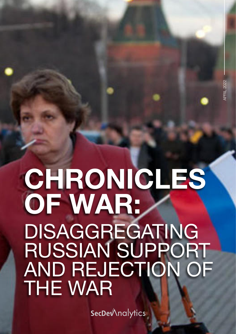## CHRONICLES OF WAR: DISAGGREGATING RUSSIAN SUPPORT AND REJECTION OF THE WAR

**SecDe**Mnalytics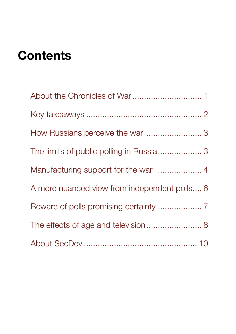## **Contents**

| A more nuanced view from independent polls 6 |
|----------------------------------------------|
|                                              |
| The effects of age and television 8          |
|                                              |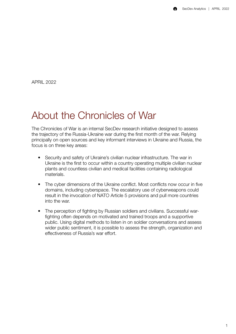<span id="page-2-0"></span>APRIL 2022

### About the Chronicles of War

The Chronicles of War is an internal SecDev research initiative designed to assess the trajectory of the Russia-Ukraine war during the first month of the war. Relying principally on open sources and key informant interviews in Ukraine and Russia, the focus is on three key areas:

- Security and safety of Ukraine's civilian nuclear infrastructure. The war in Ukraine is the first to occur within a country operating multiple civilian nuclear plants and countless civilian and medical facilities containing radiological materials.
- The cyber dimensions of the Ukraine conflict. Most conflicts now occur in five domains, including cyberspace. The escalatory use of cyberweapons could result in the invocation of NATO Article 5 provisions and pull more countries into the war.
- The perception of fighting by Russian soldiers and civilians. Successful warfighting often depends on motivated and trained troops and a supportive public. Using digital methods to listen in on soldier conversations and assess wider public sentiment, it is possible to assess the strength, organization and effectiveness of Russia's war effort.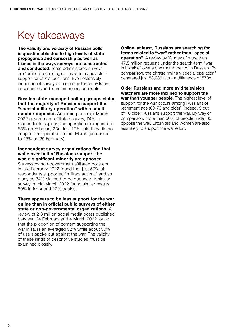### <span id="page-3-0"></span>Key takeaways

The validity and veracity of Russian polls is questionable due to high levels of state propaganda and censorship as well as biases in the ways surveys are constructed and conducted. State-administered surveys are "political technologies" used to manufacture support for official positions. Even ostensibly independent surveys are often distorted by latent uncertainties and fears among respondents.

#### Russian state-managed polling groups claim that the majority of Russians support the "special military operation" with a small number opposed. According to a mid-March 2022 government-affiliated survey, 74% of respondents support the operation (compared to 65% on February 25). Just 17% said they did not support the operation in mid-March (compared to 25% on 25 February).

#### Independent survey organizations find that while over half of Russians support the war, a significant minority are opposed.

Surveys by non-government affiliated pollsters in late February 2022 found that just 59% of respondents supported "military actions" and as many as 34% claimed to be opposed. A similar survey in mid-March 2022 found similar results: 59% in favor and 22% against.

There appears to be less support for the war online than in official public surveys of either state or non-governmental organizations. A review of 2.8 million social media posts published

between 24 February and 4 March 2022 found that the proportion of content supporting the war in Russian averaged 52% while about 30% of users spoke out against the war. The validity of these kinds of descriptive studies must be examined closely.

Online, at least, Russians are searching for terms related to "war" rather than "special operation". A review by Yandex of more than 47.5 million requests under the search-term "war in Ukraine" over a one month period in Russian. By comparison, the phrase "military special operation" generated just 83,236 hits - a difference of 570x.

Older Russians and more avid television watchers are more inclined to support the war than younger people. The highest level of support for the war occurs among Russians of retirement age (60-70 and older). Indeed, 9 out of 10 older Russians support the war. By way of comparison, more than 50% of people under 30 oppose the war. Urbanites and women are also less likely to support the war effort.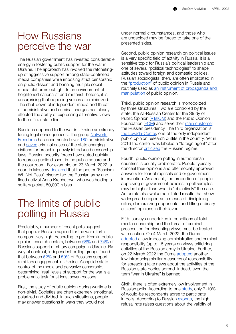### <span id="page-4-0"></span>How Russians perceive the war

The Russian government has invested considerable energy in fostering public support for the war in Ukraine. The approach has involved the ratchetingup of aggressive support among state-controlled media companies while imposing strict censorship on public dissent and banning multiple social media platforms outright. In an environment of heightened nationalist and militarist rhetoric, it is unsurprising that opposing voices are minimized. The shut-down of independent media and threat of administrative and criminal charges has clearly affected the ability of expressing alternative views to the official state line.

Russians opposed to the war in Ukraine are already facing legal consequences. The group [Network](https://t.me/NetFreedomsProject)  [Freedoms](https://t.me/NetFreedomsProject) has documented over [180](https://t.me/NetFreedomsProject/414) administrative and [seven](https://t.me/NetFreedomsProject/430) criminal cases of the state charging civilians for breaching newly introduced censorship laws. Russian security forces have acted quickly to repress public dissent in the public square and the courtroom. For example, on 23 March 2022, a court in Moscow [declared](https://www.svoboda.org/a/moskvichku-oshtrafovali-na-50-tysyach-za-plakat-fashizm-ne-proydet/31767914.html) that the poster "Fascism Will Not Pass" discredited the Russian army and fined activist Anna Krechetova, who was holding a solitary picket, 50,000 rubles.

### The limits of public polling in Russia

Predictably, a number of recent polls suggest that popular Russian support for the war effort is comparatively high. According to pro-Kremlin public opinion research centers, between [68%](https://fom.ru/Politika/14698) and [74%](https://wciom.ru/analytical-reviews/analiticheskii-obzor/specialnaja-voennaja-operacija-monitoring) of Russians support a military campaign in Ukraine. By way of contrast, independent polling groups found that between [52%](https://tazeros.com/dashboard/f30976f3-5ce8-4f9c-aa77-21836006914a) and [59%](https://russianfield.com/netvoine) of Russians support a military engagement in Ukraine. Alongside state control of the media and pervasive censorship, determining "real" levels of support for the war is a problematic task for at least seven reasons.

First, the study of public opinion during wartime is non-trivial. Societies are often extremely emotional, polarized and divided. In such situations, people may answer questions in ways they would not

under normal circumstances, and those who are undecided may be forced to take one of the presented sides.

Second, public opinion research on political issues is a very specific field of activity in Russia. It is a sensitive topic for Russia's political leadership and one of several "political technologies'' to shape attitudes toward foreign and domestic policies. Russian sociologists, then, are often implicated in the ["production"](https://mbk-news.appspot.com/sences/predvzyatost-ili-polittexnologiya/) of public opinion in Russia and routinely used as [an instrument of propaganda and](https://www.opendemocracy.net/ru/oprosy-obschestvennogo-mneniya-kak-politicheskoe-oruzhie-alyukov/)  [manipulation](https://www.opendemocracy.net/ru/oprosy-obschestvennogo-mneniya-kak-politicheskoe-oruzhie-alyukov/) of public opinion.

Third, public opinion research is monopolized by three structures. Two are controlled by the state, the All-Russian Center for the Study of Public Opinion [\(VTsIOM\)](https://wciom.ru) and the Public Opinion Foundation [\(FOM](https://fom-gk.ru)) and serve their [main customer](https://social.hse.ru/soc/fom/about_fom), the Russian presidency. The third organization is [the Levada-Center](https://www.levada.ru), one of the only independent public opinion research outfits in the country. Yet in 2016 the center was labeled a "foreign agent" after the director [criticized](https://www.rbc.ru/politics/06/09/2016/57ceaf969a79473d2c782a3d) the Russian regime.

Fourth, public opinion polling in authoritarian countries is usually problematic. People typically conceal their opinions and offer socially approved answers for fear of reprisals and or government intervention. As a result, the proportion of people approving of government policies in poll samples may be higher than what is "objectively" the case. Autocrats also welcome inflated results that show widespread support as a means of disciplining elites, demoralizing opponents, and tilting ordinary citizens' opinions in their favor.

Fifth, surveys undertaken in conditions of total media censorship and the threat of criminal prosecution for dissenting views must be treated with caution. On 4 March 2022, the Duma [adopted](https://www.svoboda.org/a/gosduma-prinyala-zakonoproekt-o-lishenii-svobody-za-feyki-pro-armiyu/31735637.html) a law imposing administrative and criminal responsibility (up to 15 years) on views criticizing activities of the Russian army in Ukraine. Further, on 22 March 2022 the Duma [adopted](https://rg.ru/2022/03/22/gosduma-priniala-zakon-o-nakazanii-za-fejki-o-dejstviiah-gosorganov-za-rubezhom.html) another law introducing similar measures of responsibility for spreading fake news about the activities of the Russian state bodies abroad. Indeed, even the term "war in Ukraine" is banned.

Sixth, there is often extremely low involvement in Russian polls. According to one [study,](https://mbk-news.appspot.com/sences/predvzyatost-ili-polittexnologiya/) only 7-10% of would-be respondents agree to participate in polls. According to Russia[n experts](https://mbk-news.appspot.com/sences/predvzyatost-ili-polittexnologiya/), the high refusal rate raises questions about the validity of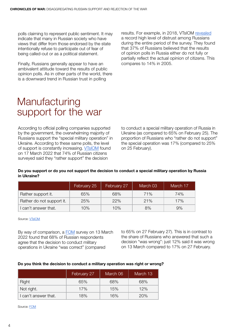<span id="page-5-0"></span>polls claiming to represent public sentiment. It may indicate that many in Russian society who have views that differ from those endorsed by the state intentionally refuse to participate out of fear of being called-out or as a political statement.

Finally, Russians generally appear to have an ambivalent attitude toward the results of public opinion polls. As in other parts of the world, there is a downward trend in Russian trust in polling

results. For example, in 2018, VTsIOM [revealed](https://wciom.ru/analytical-reviews/analiticheskii-obzor/ko-dnyu-socziologa-rossiyane-o-socziologicheskikh-oprosakh) a record high level of distrust among Russians during the entire period of the survey. They found that 37% of Russians believed that the results of opinion polls in Russia either do not fully or partially reflect the actual opinion of citizens. This compares to 14% in 2005.

### **Manufacturing** support for the war

According to official polling companies supported by the government, the overwhelming majority of Russians support the "special military operation" in Ukraine. According to these same polls, the level of support is constantly increasing. [VTsIOM](https://wciom.ru/analytical-reviews/analiticheskii-obzor/specialnaja-voennaja-operacija-monitoring) found on 17 March 2022 that 74% of Russian citizens surveyed said they "rather support" the decision

to conduct a special military operation of Russia in Ukraine (as compared to 65% on February 25). The proportion of Russians who "rather do not support" the special operation was 17% (compared to 25% on 25 February).

#### Do you support or do you not support the decision to conduct a special military operation by Russia in Ukraine?

|                           | February 25 | February 27 | March 03 | March 17 |
|---------------------------|-------------|-------------|----------|----------|
| Rather support it.        | 65%         | 68%         | 71%      | 74%      |
| Rather do not support it. | 25%         | 22%         | 21%      | 17%      |
| l can't answer that.      | 10%         | 10%         | 8%       | 9%       |

Source: **VTsIOM** 

By way of comparison, a [FOM](https://fom.ru/Politika/14698) survey on 13 March 2022 found that 68% of Russian respondents agree that the decision to conduct military operations in Ukraine "was correct" (compared

to 65% on 27 February 27). This is in contrast to the share of Russians who answered that such a decision "was wrong": just 12% said it was wrong on 13 March compared to 17% on 27 February.

#### Do you think the decision to conduct a military operation was right or wrong?

|                    | February 27 | March 06 | March 13 |
|--------------------|-------------|----------|----------|
| <b>Right</b>       | 65%         | 68%      | 68%      |
| Not right.         | 17%         | 15%      | 12%      |
| can't answer that. | 18%         | 16%      | 20%      |

Source: [FOM](https://fom.ru/Politika/14698)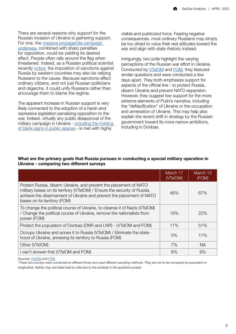There are several reasons why support for the Russian invasion of Ukraine is gathering support. For one, the [massive propaganda campaign](https://faridaily.substack.com/p/now-were-going-to-fck-them-all-whats)  [underway](https://faridaily.substack.com/p/now-were-going-to-fck-them-all-whats), combined with sharp penalties for opposition, could be yielding its desired effect. People often rally around the flag when threatened. Indeed, as a Russian political scientist recently [noted,](https://lenta.ru/news/2022/03/23/politolog/) the imposition of sanctions against Russia by western countries may also be rallying Russians to the cause. Because sanctions affect ordinary citizens, and not just Russian politicians and oligarchs, it could unify Russians rather than encourage them to blame the regime.

The apparent increase in Russian support is very likely connected to the adoption of a harsh and repressive legislation penalizing opposition to the war. Indeed, virtually any public disapproval of the military campaign in Ukraine - [including the holding](https://24tv.ua/ru/za-plakaty-bez-slov-chistye-listki-bumagi-rossii-zaderzhivajut_n1903479)  [of blank signs in public spaces](https://24tv.ua/ru/za-plakaty-bez-slov-chistye-listki-bumagi-rossii-zaderzhivajut_n1903479) - is met with highly

visible and publicized force. Fearing negative consequences, most ordinary Russians may simply be too afraid to voice their real attitudes toward the war and align with state rhetoric instead.

Intriguingly, two polls highlight the varying perceptions of the Russian war effort in Ukraine. Conducted by [VTsIOM](https://wciom.ru/analytical-reviews/analiticheskii-obzor/specialnaja-voennaja-operacija-monitoring) and [FOM](https://fom.ru/Politika/14698), they featured similar questions and were conducted a few days apart. They both emphasize support for aspects of the official line - to protect Russia, disarm Ukraine and prevent NATO expansion. However, they suggest low support for the more extreme elements of Putin's narrative, including the "deNazification" of Ukraine or the occupation and annexation of Ukraine. This may help also explain the recent shift in strategy by the Russian government toward its more narrow ambitions, including in Donbas.

|                                                                                                                                                                                                                                                         | March 17<br>(VTsIOM) | March 13<br>(FOM) |
|---------------------------------------------------------------------------------------------------------------------------------------------------------------------------------------------------------------------------------------------------------|----------------------|-------------------|
| Protect Russia, disarm Ukraine, and prevent the placement of NATO<br>military bases on its territory (VTsilOM) / Ensure the security of Russia,<br>achieve the disarmament of Ukraine and prevent the placement of NATO<br>bases on its territory (FOM) | 46%                  | 67%               |
| To change the political course of Ukraine, to cleanse it of Nazis (VTsIOM)<br>/ Change the political course of Ukraine, remove the nationalists from<br>power (FOM)                                                                                     | 19%                  | 22%               |
| Protect the population of Donbas (DNR and LNR) - (VTsIOM and FOM)                                                                                                                                                                                       | 17%                  | 51%               |
| Occupy Ukraine and annex it to Russia (VTsIOM) / Eliminate the state-<br>hood of Ukraine, annexing its territory to Russia (FOM)                                                                                                                        | 5%                   | 11%               |
| Other (VTsIOM)                                                                                                                                                                                                                                          | 7%                   | <b>NA</b>         |
| I can't answer that (VTsIOM and FOM)                                                                                                                                                                                                                    | 6%                   | 9%                |

#### What are the primary goals that Russia pursues in conducting a special military operation in Ukraine - comparing two different surveys

Sources: [VTsIOM](https://wciom.ru/analytical-reviews/analiticheskii-obzor/specialnaja-voennaja-operacija-monitoring) and [FOM](https://fom.ru/Politika/14698)

*\*These two surveys were conducted at different times and used different sampling methods. They are not to be compared as equivalent or longitudinal. Rather, they are listed side by side due to the similarity in the questions posed.*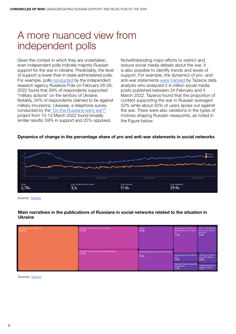### <span id="page-7-0"></span>A more nuanced view from independent polls

Given the context in which they are undertaken, even independent polls indicate majority Russian support for the war in Ukraine. Predictably, the level of support is lower than in state-administered polls. For example, polls [conducted](https://russianfield.com/netvoine) by the independent research agency Russkoe Pole on February 26-28, 2022 found that 59% of respondents supported "military actions" on the territory of Ukraine. Notably, 34% of respondents claimed to be against military incursions. Likewise, a telephone survey conducted by the ["Do the Russians want war?"](https://www.dorussianswantwar.com/en) project from 10-13 March 2022 found broadly similar results: 59% in support and 22% opposed.

Notwithstanding major efforts to restrict and reduce social media debate about the war, it is also possible to identify trends and levels of support. For example, the dynamics of pro- and anti-war statements [were](https://tazeros.com/dashboard/f30976f3-5ce8-4f9c-aa77-21836006914a) [tracked](https://tazeros.com/dashboard/f30976f3-5ce8-4f9c-aa77-21836006914a) by Tazeros data analysts who analyzed 2.8 million social media posts published between 24 February and 4 March 2022. Tazeros found that the proportion of content supporting the war in Russian averaged 52% while about 30% of users spoke out against the war. There were also variations in the types of motives shaping Russian viewpoints, as noted in the Figure below.

#### Dynamics of change in the percentage share of pro and anti-war statements in social networks



Sources: [Tazeros](https://tazeros.com/dashboard/f30976f3-5ce8-4f9c-aa77-21836006914a)

#### Main narratives in the publications of Russians in social networks related to the situation in Ukraine

| Sympathy for Ukrainians<br>30.4% | Feelings for the Russian economy<br>15.7%        | Other<br>9.3%                                     | Strengthen Russia's mi Call on the Russia<br>litary presence in Ukrai<br>ne<br>7.3% | ns to come out to<br>protests<br>5.9%       |
|----------------------------------|--------------------------------------------------|---------------------------------------------------|-------------------------------------------------------------------------------------|---------------------------------------------|
|                                  | Personal insults towards Vladimir Putin<br>14.5% | Personal insults towards the Russia<br>ns<br>8.3% |                                                                                     |                                             |
|                                  |                                                  |                                                   | Sympathy for the Russi The Joy of the Ri<br>ans se of the Dollar<br>2.5%            | 2.2%                                        |
|                                  |                                                  |                                                   | Personal insults towards<br><b>Ukrainians</b><br>2.4%                               | Impose sanctions<br>against Russia<br>3.501 |

Sources: [Tazeros](https://tazeros.com/dashboard/f30976f3-5ce8-4f9c-aa77-21836006914a)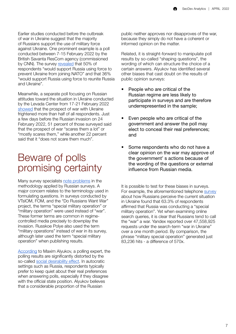<span id="page-8-0"></span>Earlier studies conducted before the outbreak of war in Ukraine suggest that the majority of Russians support the use of military force against Ukraine. One prominent example is a poll conducted between 7-15 February 2022 by the British Savanta ResCom agency (commissioned by CNN). The survey [revealed](https://comresglobal.com/polls/russians-ukrainians-poll-cnn-23-feb/) that 50% of respondents "would support Russia using force to prevent Ukraine from joining NATO" and that 36% "would support Russia using force to reunite Russia and Ukraine".

Meanwhile, a separate poll focusing on Russian attitudes toward the situation in Ukraine conducted by the Levada Center from 17-21 February 2022 [showed](https://www.levada.ru/2022/02/24/ukraina-i-donbass-2/) that the prospect of war with Ukraine frightened more than half of all respondents. Just a few days before the Russian invasion on 24 February 2022, 51 percent of those surveyed said that the prospect of war "scares them a lot" or "mostly scares them," while another 22 percent said that it "does not scare them much".

### Beware of polls promising certainty

Many survey specialists [note problems](https://www.bbc.com/russian/news-60662712) in the methodology applied by Russian surveys. A major concern relates to the terminology used in formulating questions. In surveys conducted by VTsIOM, FOM, and the "Do Russians Want War" project, the terms "special military operation" or "military operation" were used instead of "war". These former terms are common in regimecontrolled media precisely to downplay the invasion. Russkoe Polye also used the term "military operations" instead of war in its survey, although later used the term "special military operation" when publishing results.

[According](https://www.opendemocracy.net/ru/oprosy-obschestvennogo-mneniya-kak-politicheskoe-oruzhie-alyukov/) to Maxim Alyukov, a polling expert, the polling results are significantly distorted by the so-called [social desirability effect.](https://link.springer.com/article/10.1007/s11135-011-9640-9?con=17690&error=cookies_not_supported&code=d760bb19-7b9d-43d5-8db7-4a5254a91bfc) In autocratic settings such as Russia, respondents typically prefer to keep quiet about their real preferences when answering polls, especially if they disagree with the official state position. Alyukov believes that a considerable proportion of the Russian

public neither approves nor disapproves of the war, because they simply do not have a coherent or informed opinion on the matter.

Related, it is straight-forward to manipulate poll results by so-called "shaping questions", the wording of which can structure the choice of a certain answers. Alyukov has identified several other biases that cast doubt on the results of public opinion surveys:

- People who are critical of the Russian regime are less likely to participate in surveys and are therefore underrepresented in the sample;
- Even people who are critical of the government and answer the poll may elect to conceal their real preferences; and
- Some respondents who do not have a clear opinion on the war may approve of the government' s actions because of the wording of the questions or external influence from Russian media.

It is possible to test for these biases in surveys. For example, the aforementioned telephone [survey](https://www.dorussianswantwar.com/en) about how Russians perceive the current situation in Ukraine found that 63.3% of respondents affirmed that Russia was conducting a "special military operation". Yet when examining online search queries, it is clear that Russians tend to call the "war" a war. Yandex reported over 47,558,925 requests under the search-term "war in Ukraine" over a one month period. By comparison, the phrase "military special operation" generated just 83,236 hits - a difference of 570x.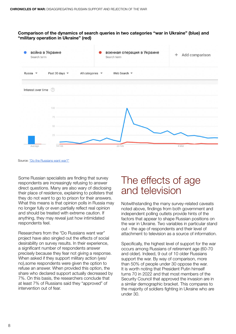#### <span id="page-9-0"></span>Comparison of the dynamics of search queries in two categories "war in Ukraine" (blue) and "military operation in Ukraine" (red)



Source: ["Do the Russians want war?"](https://www.dorussianswantwar.com/en)

Some Russian specialists are finding that survey respondents are increasingly refusing to answer direct questions. Many are also wary of disclosing their place of residence, explaining to pollsters that they do not want to go to prison for their answers. What this means is that opinion polls in Russia may no longer fully or even partially reflect real opinion and should be treated with extreme caution. If anything, they may reveal just how intimidated respondents feel.

Researchers from the "Do Russians want war" project have also singled out the effects of social desirability on survey results. In their experience, a significant number of respondents answer precisely because they fear not giving a response. When asked if they support military action (yes/ no),some respondents were given the option to refuse an answer. When provided this option, the share who declared support actually decreased by 7%. On this basis, the researchers conclude that at least 7% of Russians said they "approved" of intervention out of fear.

### The effects of age and television

Notwithstanding the many survey-related caveats noted above, findings from both government and independent polling outlets provide hints of the factors that appear to shape Russian positions on the war in Ukraine. Two variables in particular stand out - the age of respondents and their level of attachment to television as a source of information.

Specifically, the highest level of support for the war occurs among Russians of retirement age (60-70 and older). Indeed, 9 out of 10 older Russians support the war. By way of comparison, more than 50% of people under 30 oppose the war. It is worth noting that President Putin himself turns 70 in 2022 and that most members of the Security Council that approved the invasion are in a similar demographic bracket. This compares to the majority of soldiers fighting in Ukraine who are under 30.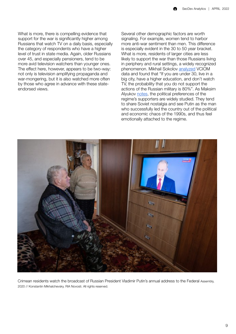What is more, there is compelling evidence that support for the war is significantly higher among Russians that watch TV on a daily basis, especially the category of respondents who have a higher level of trust in state media. Again, older Russians over 45, and especially pensioners, tend to be more avid television watchers than younger ones. The effect here, however, appears to be two-way: not only is television amplifying propaganda and war-mongering, but it is also watched more often by those who agree in advance with these stateendorsed views.

Several other demographic factors are worth signaling. For example, women tend to harbor more anti-war sentiment than men. This difference is especially evident in the 30 to 50 year bracket. What is more, residents of larger cities are less likely to support the war than those Russians living in periphery and rural settings, a widely recognized phenomenon. Mikhail Sokolov [analyzed](https://www.facebook.com/mmsokolov/posts/2016414775197668) VCIOM data and found that "If you are under 30, live in a big city, have a higher education, and don't watch TV, the probability that you do not support the actions of the Russian military is 80%". As Maksim Alyukov [notes](https://www.opendemocracy.net/ru/oprosy-obschestvennogo-mneniya-kak-politicheskoe-oruzhie-alyukov/), the political preferences of the regime's supporters are widely studied. They tend to share Soviet nostalgia and see Putin as the man who successfully led the country out of the political and economic chaos of the 1990s, and thus feel emotionally attached to the regime.



Crimean residents watch the broadcast of Russian President Vladimir Putin's annual address to the Federal Assembly, 2020 // Konstantin Mikhalchevsky. RIA Novosti. All rights reserved.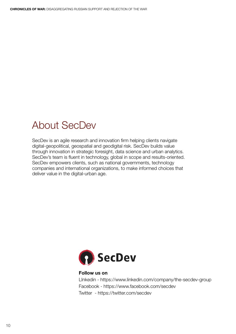### <span id="page-11-0"></span>About SecDev

SecDev is an agile research and innovation firm helping clients navigate digital-geopolitical, geospatial and geodigital risk. SecDev builds value through innovation in strategic foresight, data science and urban analytics. SecDev's team is fluent in technology, global in scope and results-oriented. SecDev empowers clients, such as national governments, technology companies and international organizations, to make informed choices that deliver value in the digital-urban age.



#### Follow us on

LInkedin - https://www.linkedin.com/company/the-secdev-group Facebook - https://www.facebook.com/secdev Twitter - https://twitter.com/secdev